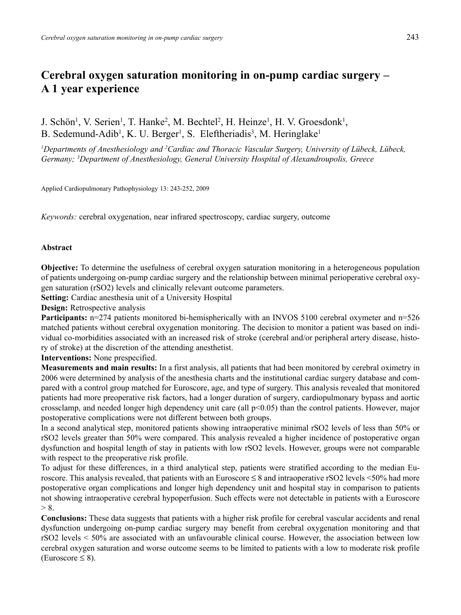# **Cerebral oxygen saturation monitoring in on-pump cardiac surgery – A 1 year experience**

J. Schön<sup>1</sup>, V. Serien<sup>1</sup>, T. Hanke<sup>2</sup>, M. Bechtel<sup>2</sup>, H. Heinze<sup>1</sup>, H. V. Groesdonk<sup>1</sup>, B. Sedemund-Adib<sup>1</sup>, K. U. Berger<sup>1</sup>, S. Eleftheriadis<sup>3</sup>, M. Heringlake<sup>1</sup>

*1 Departments of Anesthesiology and 2 Cardiac and Thoracic Vascular Surgery, University of Lübeck, Lübeck, Germany; 3 Department of Anesthesiology, General University Hospital of Alexandroupolis, Greece*

Applied Cardiopulmonary Pathophysiology 13: 243-252, 2009

*Keywords:* cerebral oxygenation, near infrared spectroscopy, cardiac surgery, outcome

#### **Abstract**

**Objective:** To determine the usefulness of cerebral oxygen saturation monitoring in a heterogeneous population of patients undergoing on-pump cardiac surgery and the relationship between minimal perioperative cerebral oxygen saturation (rSO2) levels and clinically relevant outcome parameters.

**Setting:** Cardiac anesthesia unit of a University Hospital

**Design:** Retrospective analysis

**Participants:** n=274 patients monitored bi-hemispherically with an INVOS 5100 cerebral oxymeter and n=526 matched patients without cerebral oxygenation monitoring. The decision to monitor a patient was based on individual co-morbidities associated with an increased risk of stroke (cerebral and/or peripheral artery disease, history of stroke) at the discretion of the attending anesthetist.

**Interventions:** None prespecified.

**Measurements and main results:** In a first analysis, all patients that had been monitored by cerebral oximetry in 2006 were determined by analysis of the anesthesia charts and the institutional cardiac surgery database and compared with a control group matched for Euroscore, age, and type of surgery. This analysis revealed that monitored patients had more preoperative risk factors, had a longer duration of surgery, cardiopulmonary bypass and aortic crossclamp, and needed longer high dependency unit care (all p<0.05) than the control patients. However, major postoperative complications were not different between both groups.

In a second analytical step, monitored patients showing intraoperative minimal rSO2 levels of less than 50% or rSO2 levels greater than 50% were compared. This analysis revealed a higher incidence of postoperative organ dysfunction and hospital length of stay in patients with low rSO2 levels. However, groups were not comparable with respect to the preoperative risk profile.

To adjust for these differences, in a third analytical step, patients were stratified according to the median Euroscore. This analysis revealed, that patients with an Euroscore ≤ 8 and intraoperative rSO2 levels <50% had more postoperative organ complications and longer high dependency unit and hospital stay in comparison to patients not showing intraoperative cerebral hypoperfusion. Such effects were not detectable in patients with a Euroscore  $> 8$ .

**Conclusions:** These data suggests that patients with a higher risk profile for cerebral vascular accidents and renal dysfunction undergoing on-pump cardiac surgery may benefit from cerebral oxygenation monitoring and that rSO2 levels < 50% are associated with an unfavourable clinical course. However, the association between low cerebral oxygen saturation and worse outcome seems to be limited to patients with a low to moderate risk profile  $(Euroscore \leq 8)$ .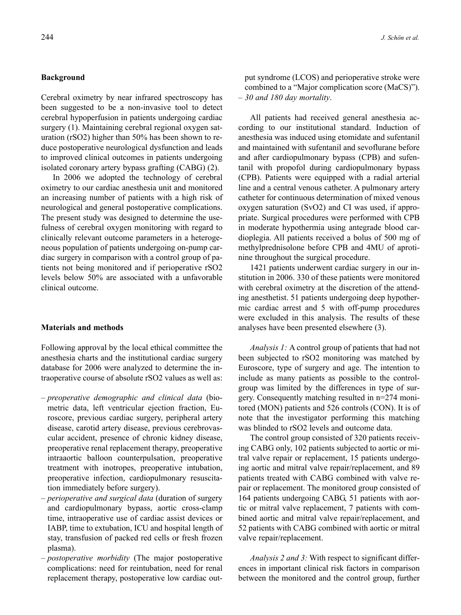#### **Background**

Cerebral oximetry by near infrared spectroscopy has been suggested to be a non-invasive tool to detect cerebral hypoperfusion in patients undergoing cardiac surgery (1). Maintaining cerebral regional oxygen saturation (rSO2) higher than 50% has been shown to reduce postoperative neurological dysfunction and leads to improved clinical outcomes in patients undergoing isolated coronary artery bypass grafting (CABG) (2).

In 2006 we adopted the technology of cerebral oximetry to our cardiac anesthesia unit and monitored an increasing number of patients with a high risk of neurological and general postoperative complications. The present study was designed to determine the usefulness of cerebral oxygen monitoring with regard to clinically relevant outcome parameters in a heterogeneous population of patients undergoing on-pump cardiac surgery in comparison with a control group of patients not being monitored and if perioperative rSO2 levels below 50% are associated with a unfavorable clinical outcome.

#### **Materials and methods**

Following approval by the local ethical committee the anesthesia charts and the institutional cardiac surgery database for 2006 were analyzed to determine the intraoperative course of absolute rSO2 values as well as:

- *preoperative demographic and clinical data* (biometric data, left ventricular ejection fraction, Euroscore, previous cardiac surgery, peripheral artery disease, carotid artery disease, previous cerebrovascular accident, presence of chronic kidney disease, preoperative renal replacement therapy, preoperative intraaortic balloon counterpulsation, preoperative treatment with inotropes, preoperative intubation, preoperative infection, cardiopulmonary resuscitation immediately before surgery).
- *perioperative and surgical data* (duration of surgery and cardiopulmonary bypass, aortic cross-clamp time, intraoperative use of cardiac assist devices or IABP, time to extubation, ICU and hospital length of stay, transfusion of packed red cells or fresh frozen plasma).
- *postoperative morbidity* (The major postoperative complications: need for reintubation, need for renal replacement therapy, postoperative low cardiac out-

put syndrome (LCOS) and perioperative stroke were combined to a "Major complication score (MaCS)"). – *30 and 180 day mortality*.

All patients had received general anesthesia according to our institutional standard. Induction of anesthesia was induced using etomidate and sufentanil and maintained with sufentanil and sevoflurane before and after cardiopulmonary bypass (CPB) and sufentanil with propofol during cardiopulmonary bypass (CPB). Patients were equipped with a radial arterial line and a central venous catheter. A pulmonary artery catheter for continuous determination of mixed venous oxygen saturation (SvO2) and CI was used, if appropriate. Surgical procedures were performed with CPB in moderate hypothermia using antegrade blood cardioplegia. All patients received a bolus of 500 mg of methylprednisolone before CPB and 4MU of aprotinine throughout the surgical procedure.

1421 patients underwent cardiac surgery in our institution in 2006. 330 of these patients were monitored with cerebral oximetry at the discretion of the attending anesthetist. 51 patients undergoing deep hypothermic cardiac arrest and 5 with off-pump procedures were excluded in this analysis. The results of these analyses have been presented elsewhere (3).

*Analysis 1:* A control group of patients that had not been subjected to rSO2 monitoring was matched by Euroscore, type of surgery and age. The intention to include as many patients as possible to the controlgroup was limited by the differences in type of surgery. Consequently matching resulted in n=274 monitored (MON) patients and 526 controls (CON). It is of note that the investigator performing this matching was blinded to rSO2 levels and outcome data.

The control group consisted of 320 patients receiving CABG only, 102 patients subjected to aortic or mitral valve repair or replacement, 15 patients undergoing aortic and mitral valve repair/replacement, and 89 patients treated with CABG combined with valve repair or replacement. The monitored group consisted of 164 patients undergoing CABG, 51 patients with aortic or mitral valve replacement, 7 patients with combined aortic and mitral valve repair/replacement, and 52 patients with CABG combined with aortic or mitral valve repair/replacement.

*Analysis 2 and 3:* With respect to significant differences in important clinical risk factors in comparison between the monitored and the control group, further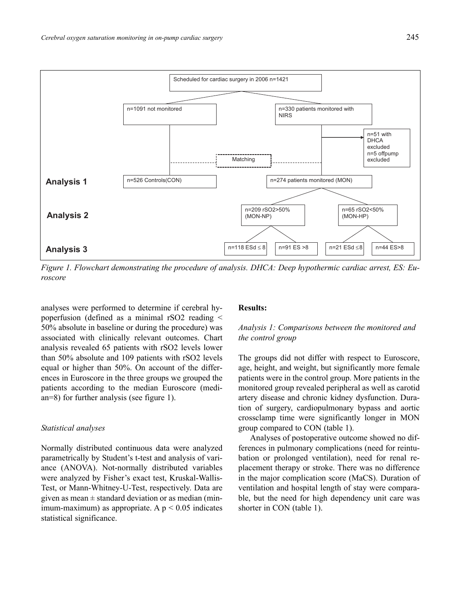

*Figure 1. Flowchart demonstrating the procedure of analysis. DHCA: Deep hypothermic cardiac arrest, ES: Euroscore*

analyses were performed to determine if cerebral hypoperfusion (defined as a minimal rSO2 reading < 50% absolute in baseline or during the procedure) was associated with clinically relevant outcomes. Chart analysis revealed 65 patients with rSO2 levels lower than 50% absolute and 109 patients with rSO2 levels equal or higher than 50%. On account of the differences in Euroscore in the three groups we grouped the patients according to the median Euroscore (median=8) for further analysis (see figure 1).

#### *Statistical analyses*

Normally distributed continuous data were analyzed parametrically by Student's t-test and analysis of variance (ANOVA). Not-normally distributed variables were analyzed by Fisher's exact test, Kruskal-Wallis-Test, or Mann-Whitney-U-Test, respectively. Data are given as mean  $\pm$  standard deviation or as median (minimum-maximum) as appropriate. A  $p < 0.05$  indicates statistical significance.

## **Results:**

## *Analysis 1: Comparisons between the monitored and the control group*

The groups did not differ with respect to Euroscore, age, height, and weight, but significantly more female patients were in the control group. More patients in the monitored group revealed peripheral as well as carotid artery disease and chronic kidney dysfunction. Duration of surgery, cardiopulmonary bypass and aortic crossclamp time were significantly longer in MON group compared to CON (table 1).

Analyses of postoperative outcome showed no differences in pulmonary complications (need for reintubation or prolonged ventilation), need for renal replacement therapy or stroke. There was no difference in the major complication score (MaCS). Duration of ventilation and hospital length of stay were comparable, but the need for high dependency unit care was shorter in CON (table 1).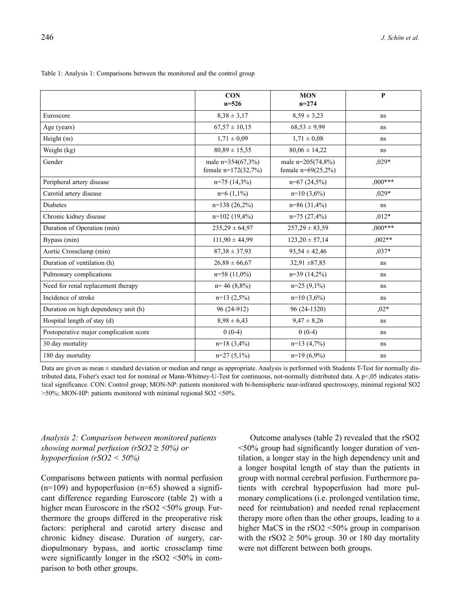|                                        | <b>CON</b><br>$n = 526$                  | <b>MON</b><br>$n = 274$                    | $\mathbf{P}$ |
|----------------------------------------|------------------------------------------|--------------------------------------------|--------------|
| Euroscore                              | $8,38 \pm 3,17$                          | $8,59 \pm 3,23$                            | ns           |
| Age (years)                            | $67,57 \pm 10,15$                        | $68,53 \pm 9,99$                           | ns           |
| Height (m)                             | $1.71 \pm 0.09$                          | $1.71 \pm 0.08$                            | ns           |
| Weight (kg)                            | $80,89 \pm 15,35$                        | $80.06 \pm 14.22$                          | ns           |
| Gender                                 | male n=354(67,3%)<br>female n=172(32,7%) | male n=205(74,8%)<br>female $n=69(25,2\%)$ | $.029*$      |
| Peripheral artery disease              | $n=75(14,3\%)$                           | $n=67(24,5%)$                              | $,000***$    |
| Carotid artery disease                 | $n=6(1,1\%)$                             | $n=10(3,6\%)$                              | $.029*$      |
| <b>Diabetes</b>                        | $n=138(26,2\%)$                          | $n=86(31,4%)$                              | ns           |
| Chronic kidney disease                 | $n=102(19,4\%)$                          | $n=75(27,4%)$                              | $,012*$      |
| Duration of Operation (min)            | $235.29 \pm 64.97$                       | $257.29 \pm 83.59$                         | $.000***$    |
| Bypass (min)                           | $111.90 \pm 44.99$                       | $123,20 \pm 57,14$                         | $.002**$     |
| Aortic Crossclamp (min)                | $87.38 \pm 37.93$                        | $93.54 \pm 42.46$                          | $.037*$      |
| Duration of ventilation (h)            | $26,88 \pm 66,67$                        | $32,91 \pm 87,85$                          | ns           |
| Pulmonary complications                | $n=58(11,0\%)$                           | $n=39(14,2\%)$                             | ns           |
| Need for renal replacement therapy     | $n=46(8,8\%)$                            | $n=25(9,1\%)$                              | ns           |
| Incidence of stroke                    | $n=13(2,5\%)$                            | $n=10(3,6\%)$                              | ns           |
| Duration on high dependency unit (h)   | 96 (24-912)                              | 96 (24-1320)                               | $.02*$       |
| Hospital length of stay (d)            | $8.98 \pm 6.43$                          | $9.47 \pm 8.26$                            | ns           |
| Postoperative major complication score | $0(0-4)$                                 | $0(0-4)$                                   | ns           |
| 30 day mortality                       | $n=18(3,4%)$                             | $n=13(4,7%)$                               | ns           |
| 180 day mortality                      | $n=27(5,1\%)$                            | $n=19(6,9\%)$                              | ns           |

Table 1: Analysis 1: Comparisons between the monitored and the control group

Data are given as mean ± standard deviation or median and range as appropriate. Analysis is performed with Students T-Test for normally distributed data, Fisher's exact test for nominal or Mann-Whitney-U-Test for continuous, not-normally distributed data. A p<,05 indicates statistical significance. CON: Control group; MON-NP: patients monitored with bi-hemispheric near-infrared spectroscopy, minimal regional SO2 >50%; MON-HP: patients monitored with minimal regional SO2 <50%.

## *Analysis 2: Comparison between monitored patients showing normal perfusion (rSO2* ≥ *50%) or hypoperfusion (rSO2 < 50%)*

Comparisons between patients with normal perfusion  $(n=109)$  and hypoperfusion  $(n=65)$  showed a significant difference regarding Euroscore (table 2) with a higher mean Euroscore in the rSO2 <50% group. Furthermore the groups differed in the preoperative risk factors: peripheral and carotid artery disease and chronic kidney disease. Duration of surgery, cardiopulmonary bypass, and aortic crossclamp time were significantly longer in the rSO2 <50% in comparison to both other groups.

Outcome analyses (table 2) revealed that the rSO2 <50% group had significantly longer duration of ventilation, a longer stay in the high dependency unit and a longer hospital length of stay than the patients in group with normal cerebral perfusion. Furthermore patients with cerebral hypoperfusion had more pulmonary complications (i.e. prolonged ventilation time, need for reintubation) and needed renal replacement therapy more often than the other groups, leading to a higher MaCS in the rSO2 <50% group in comparison with the rSO2  $\geq$  50% group. 30 or 180 day mortality were not different between both groups.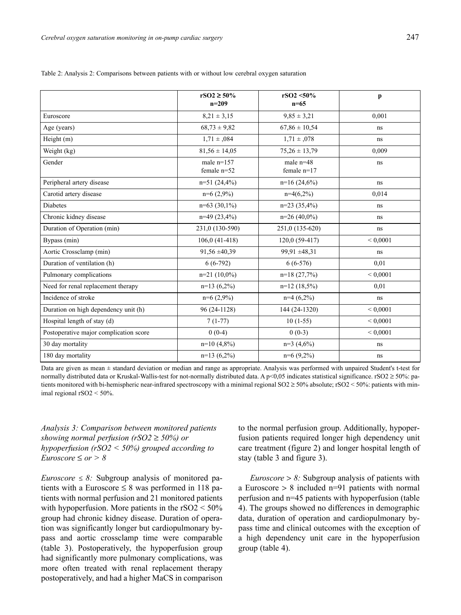|                                        | rSO2 $\geq$ 50%             | $rSO2 < 50\%$                | $\mathbf{p}$ |
|----------------------------------------|-----------------------------|------------------------------|--------------|
|                                        | $n=209$                     | $n=65$                       |              |
| Euroscore                              | $8,21 \pm 3,15$             | $9,85 \pm 3,21$              | 0,001        |
| Age (years)                            | $68,73 \pm 9,82$            | $67,86 \pm 10,54$            | ns           |
| Height $(m)$                           | $1,71 \pm .084$             | $1.71 \pm .078$              | ns           |
| Weight (kg)                            | $81,56 \pm 14,05$           | $75,26 \pm 13,79$            | 0,009        |
| Gender                                 | male $n=157$<br>female n=52 | male $n=48$<br>female $n=17$ | ns           |
| Peripheral artery disease              | $n=51(24,4%$                | $n=16(24,6\%)$               | ns           |
| Carotid artery disease                 | $n=6(2,9%)$                 | $n=4(6,2\%)$                 | 0,014        |
| Diabetes                               | $n=63$ (30,1%)              | $n=23(35,4\%)$               | ns           |
| Chronic kidney disease                 | $n=49(23,4\%)$              | $n=26(40,0\%)$               | ns           |
| Duration of Operation (min)            | 231,0 (130-590)             | 251,0 (135-620)              | ns           |
| Bypass (min)                           | $106.0(41-418)$             | $120.0(59-417)$              | ${}< 0.0001$ |
| Aortic Crossclamp (min)                | $91,56 \pm 40,39$           | $99.91 \pm 48.31$            | ns           |
| Duration of ventilation (h)            | $6(6-792)$                  | $6(6-576)$                   | 0,01         |
| Pulmonary complications                | $n=21(10,0\%)$              | $n=18(27,7%)$                | ${}< 0.0001$ |
| Need for renal replacement therapy     | $n=13(6,2\%)$               | $n=12$ (18,5%)               | 0,01         |
| Incidence of stroke                    | $n=6(2,9\%)$                | $n=4(6,2\%)$                 | ns           |
| Duration on high dependency unit (h)   | 96 (24-1128)                | 144 (24-1320)                | ${}< 0.0001$ |
| Hospital length of stay (d)            | $7(1-77)$                   | $10(1-55)$                   | ${}< 0.0001$ |
| Postoperative major complication score | $0(0-4)$                    | $0(0-3)$                     | ${}< 0.0001$ |
| 30 day mortality                       | $n=10(4,8\%)$               | $n=3$ (4,6%)                 | ns           |
| 180 day mortality                      | $n=13(6,2\%)$               | $n=6(9,2\%)$                 | ns           |

Table 2: Analysis 2: Comparisons between patients with or without low cerebral oxygen saturation

Data are given as mean ± standard deviation or median and range as appropriate. Analysis was performed with unpaired Student's t-test for normally distributed data or Kruskal-Wallis-test for not-normally distributed data. A p<0,05 indicates statistical significance. rSO2 ≥ 50%: patients monitored with bi-hemispheric near-infrared spectroscopy with a minimal regional  $SO2 \ge 50\%$  absolute; rSO2 < 50%: patients with minimal regional rSO2 < 50%.

*Analysis 3: Comparison between monitored patients showing normal perfusion (rSO2* ≥ *50%) or hypoperfusion (rSO2 < 50%) grouped according to Euroscore*  $\leq$  *or*  $>$  8

*Euroscore*  $\leq$  *8:* Subgroup analysis of monitored patients with a Euroscore  $\leq 8$  was performed in 118 patients with normal perfusion and 21 monitored patients with hypoperfusion. More patients in the  $rSO2 \le 50\%$ group had chronic kidney disease. Duration of operation was significantly longer but cardiopulmonary bypass and aortic crossclamp time were comparable (table 3). Postoperatively, the hypoperfusion group had significantly more pulmonary complications, was more often treated with renal replacement therapy postoperatively, and had a higher MaCS in comparison to the normal perfusion group. Additionally, hypoperfusion patients required longer high dependency unit care treatment (figure 2) and longer hospital length of stay (table 3 and figure 3).

*Euroscore* > *8:* Subgroup analysis of patients with a Euroscore > 8 included n=91 patients with normal perfusion and n=45 patients with hypoperfusion (table 4). The groups showed no differences in demographic data, duration of operation and cardiopulmonary bypass time and clinical outcomes with the exception of a high dependency unit care in the hypoperfusion group (table 4).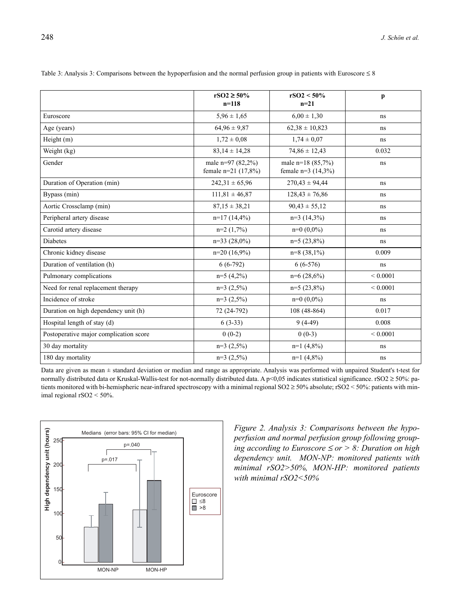|                                        | rSO2 $\geq$ 50%                          | $rSO2 < 50\%$                             | $\mathbf{p}$ |
|----------------------------------------|------------------------------------------|-------------------------------------------|--------------|
|                                        | $n = 118$                                | $n=21$                                    |              |
| Euroscore                              | $5.96 \pm 1.65$                          | $6.00 \pm 1.30$                           | ns           |
| Age (years)                            | $64,96 \pm 9,87$                         | $62,38 \pm 10,823$                        | ns           |
| Height (m)                             | $1,72 \pm 0.08$                          | $1,74 \pm 0.07$                           | ns           |
| Weight (kg)                            | $83.14 \pm 14.28$                        | $74,86 \pm 12,43$                         | 0.032        |
| Gender                                 | male n=97 (82,2%)<br>female n=21 (17,8%) | male n=18 (85,7%)<br>female $n=3$ (14,3%) | ns           |
| Duration of Operation (min)            | $242.31 \pm 65.96$                       | $270.43 \pm 94.44$                        | ns           |
| Bypass (min)                           | $111,81 \pm 46,87$                       | $128,43 \pm 76,86$                        | ns           |
| Aortic Crossclamp (min)                | $87.15 \pm 38.21$                        | $90,43 \pm 55,12$                         | ns           |
| Peripheral artery disease              | $n=17(14,4\%)$                           | $n=3(14,3\%)$                             | ns           |
| Carotid artery disease                 | $n=2$ (1,7%)                             | $n=0$ (0,0%)                              | ns           |
| <b>Diabetes</b>                        | $n=33(28,0\%)$                           | $n=5(23,8\%)$                             | ns           |
| Chronic kidney disease                 | $n=20(16.9\%)$                           | $n=8(38,1\%)$                             | 0.009        |
| Duration of ventilation (h)            | $6(6-792)$                               | $6(6-576)$                                | ns           |
| Pulmonary complications                | $n=5$ (4,2%)                             | $n=6(28,6%)$                              | ${}< 0.0001$ |
| Need for renal replacement therapy     | $n=3$ (2,5%)                             | $n=5(23,8\%)$                             | ${}< 0.0001$ |
| Incidence of stroke                    | $n=3$ (2,5%)                             | $n=0$ (0,0%)                              | ns           |
| Duration on high dependency unit (h)   | 72 (24-792)                              | $108(48-864)$                             | 0.017        |
| Hospital length of stay (d)            | $6(3-33)$                                | $9(4-49)$                                 | 0.008        |
| Postoperative major complication score | $0(0-2)$                                 | $0(0-3)$                                  | ${}< 0.0001$ |
| 30 day mortality                       | $n=3$ (2,5%)                             | $n=1$ (4,8%)                              | ns           |
| 180 day mortality                      | $n=3$ (2,5%)                             | $n=1$ (4,8%)                              | ns           |

Table 3: Analysis 3: Comparisons between the hypoperfusion and the normal perfusion group in patients with Euroscore  $\leq 8$ 

Data are given as mean ± standard deviation or median and range as appropriate. Analysis was performed with unpaired Student's t-test for normally distributed data or Kruskal-Wallis-test for not-normally distributed data. A p<0,05 indicates statistical significance. rSO2 ≥ 50%: patients monitored with bi-hemispheric near-infrared spectroscopy with a minimal regional SO2 ≥ 50% absolute; rSO2 < 50%: patients with minimal regional rSO2 < 50%.



*Figure 2. Analysis 3: Comparisons between the hypoperfusion and normal perfusion group following grouping according to Euroscore* <sup>≤</sup> *or > 8: Duration on high dependency unit. MON-NP: monitored patients with minimal rSO2>50%, MON-HP: monitored patients with minimal rSO2<50%*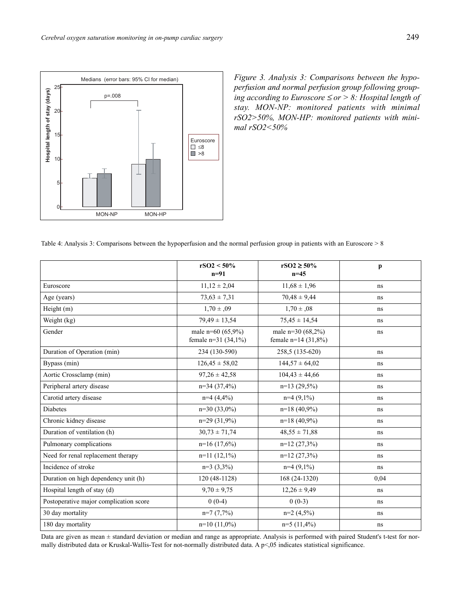

*Figure 3. Analysis 3: Comparisons between the hypoperfusion and normal perfusion group following grouping according to Euroscore* <sup>≤</sup> *or > 8: Hospital length of stay. MON-NP: monitored patients with minimal rSO2>50%, MON-HP: monitored patients with minimal rSO2<50%*

Table 4: Analysis 3: Comparisons between the hypoperfusion and the normal perfusion group in patients with an Euroscore > 8

|                                        | $rSO2 < 50\%$<br>$n=91$                    | rSO2 $\geq$ 50%<br>$n=45$                  | $\mathbf{p}$ |
|----------------------------------------|--------------------------------------------|--------------------------------------------|--------------|
| Euroscore                              | $11,12 \pm 2,04$                           | $11,68 \pm 1,96$                           | ns           |
| Age (years)                            | $73,63 \pm 7,31$                           | $70,48 \pm 9,44$                           | ns           |
| Height (m)                             | $1,70 \pm .09$                             | $1,70 \pm .08$                             | ns           |
| Weight (kg)                            | $79.49 \pm 13.54$                          | $75.45 \pm 14.54$                          | ns           |
| Gender                                 | male n=60 (65,9%)<br>female $n=31$ (34,1%) | male n=30 (68,2%)<br>female $n=14$ (31,8%) | ns           |
| Duration of Operation (min)            | 234 (130-590)                              | 258,5 (135-620)                            | ns           |
| Bypass (min)                           | $126.45 \pm 58.02$                         | $144.57 \pm 64.02$                         | ns           |
| Aortic Crossclamp (min)                | $97.26 \pm 42.58$                          | $104.43 \pm 44.66$                         | ns           |
| Peripheral artery disease              | $n=34(37,4%$                               | $n=13(29,5\%)$                             | ns           |
| Carotid artery disease                 | $n=4$ (4,4%)                               | $n=4(9,1\%)$                               | ns           |
| Diabetes                               | $n=30(33,0\%)$                             | $n=18(40.9\%)$                             | ns           |
| Chronic kidney disease                 | $n=29(31,9\%)$                             | $n=18(40,9\%)$                             | ns           |
| Duration of ventilation (h)            | $30,73 \pm 71,74$                          | $48,55 \pm 71,88$                          | ns           |
| Pulmonary complications                | $n=16(17,6%)$                              | $n=12(27,3\%)$                             | ns           |
| Need for renal replacement therapy     | $n=11(12,1\%)$                             | $n=12(27,3\%)$                             | ns           |
| Incidence of stroke                    | $n=3$ (3,3%)                               | $n=4(9,1\%)$                               | ns           |
| Duration on high dependency unit (h)   | 120 (48-1128)                              | $168(24-1320)$                             | 0,04         |
| Hospital length of stay (d)            | $9.70 \pm 9.75$                            | $12,26 \pm 9,49$                           | ns           |
| Postoperative major complication score | $0(0-4)$                                   | $0(0-3)$                                   | ns           |
| 30 day mortality                       | $n=7$ (7,7%)                               | $n=2$ (4,5%)                               | ns           |
| 180 day mortality                      | $n=10(11,0\%)$                             | $n=5(11,4\%)$                              | ns           |

Data are given as mean ± standard deviation or median and range as appropriate. Analysis is performed with paired Student's t-test for normally distributed data or Kruskal-Wallis-Test for not-normally distributed data. A p<,05 indicates statistical significance.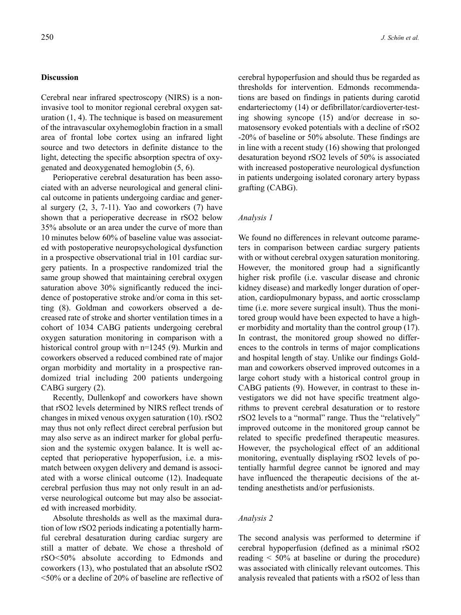## **Discussion**

Cerebral near infrared spectroscopy (NIRS) is a noninvasive tool to monitor regional cerebral oxygen saturation (1, 4). The technique is based on measurement of the intravascular oxyhemoglobin fraction in a small area of frontal lobe cortex using an infrared light source and two detectors in definite distance to the light, detecting the specific absorption spectra of oxygenated and deoxygenated hemoglobin (5, 6).

Perioperative cerebral desaturation has been associated with an adverse neurological and general clinical outcome in patients undergoing cardiac and general surgery  $(2, 3, 7-11)$ . Yao and coworkers  $(7)$  have shown that a perioperative decrease in rSO2 below 35% absolute or an area under the curve of more than 10 minutes below 60% of baseline value was associated with postoperative neuropsychological dysfunction in a prospective observational trial in 101 cardiac surgery patients. In a prospective randomized trial the same group showed that maintaining cerebral oxygen saturation above 30% significantly reduced the incidence of postoperative stroke and/or coma in this setting (8). Goldman and coworkers observed a decreased rate of stroke and shorter ventilation times in a cohort of 1034 CABG patients undergoing cerebral oxygen saturation monitoring in comparison with a historical control group with n=1245 (9). Murkin and coworkers observed a reduced combined rate of major organ morbidity and mortality in a prospective randomized trial including 200 patients undergoing CABG surgery (2).

Recently, Dullenkopf and coworkers have shown that rSO2 levels determined by NIRS reflect trends of changes in mixed venous oxygen saturation (10). rSO2 may thus not only reflect direct cerebral perfusion but may also serve as an indirect marker for global perfusion and the systemic oxygen balance. It is well accepted that perioperative hypoperfusion, i.e. a mismatch between oxygen delivery and demand is associated with a worse clinical outcome (12). Inadequate cerebral perfusion thus may not only result in an adverse neurological outcome but may also be associated with increased morbidity.

Absolute thresholds as well as the maximal duration of low rSO2 periods indicating a potentially harmful cerebral desaturation during cardiac surgery are still a matter of debate. We chose a threshold of rSO<50% absolute according to Edmonds and coworkers (13), who postulated that an absolute rSO2 <50% or a decline of 20% of baseline are reflective of cerebral hypoperfusion and should thus be regarded as thresholds for intervention. Edmonds recommendations are based on findings in patients during carotid endarteriectomy (14) or defibrillator/cardioverter-testing showing syncope (15) and/or decrease in somatosensory evoked potentials with a decline of rSO2 -20% of baseline or 50% absolute. These findings are in line with a recent study (16) showing that prolonged desaturation beyond rSO2 levels of 50% is associated with increased postoperative neurological dysfunction in patients undergoing isolated coronary artery bypass grafting (CABG).

#### *Analysis 1*

We found no differences in relevant outcome parameters in comparison between cardiac surgery patients with or without cerebral oxygen saturation monitoring. However, the monitored group had a significantly higher risk profile (i.e. vascular disease and chronic kidney disease) and markedly longer duration of operation, cardiopulmonary bypass, and aortic crossclamp time (i.e. more severe surgical insult). Thus the monitored group would have been expected to have a higher morbidity and mortality than the control group (17). In contrast, the monitored group showed no differences to the controls in terms of major complications and hospital length of stay. Unlike our findings Goldman and coworkers observed improved outcomes in a large cohort study with a historical control group in CABG patients (9). However, in contrast to these investigators we did not have specific treatment algorithms to prevent cerebral desaturation or to restore rSO2 levels to a "normal" range. Thus the "relatively" improved outcome in the monitored group cannot be related to specific predefined therapeutic measures. However, the psychological effect of an additional monitoring, eventually displaying rSO2 levels of potentially harmful degree cannot be ignored and may have influenced the therapeutic decisions of the attending anesthetists and/or perfusionists.

## *Analysis 2*

The second analysis was performed to determine if cerebral hypoperfusion (defined as a minimal rSO2 reading  $\leq 50\%$  at baseline or during the procedure) was associated with clinically relevant outcomes. This analysis revealed that patients with a rSO2 of less than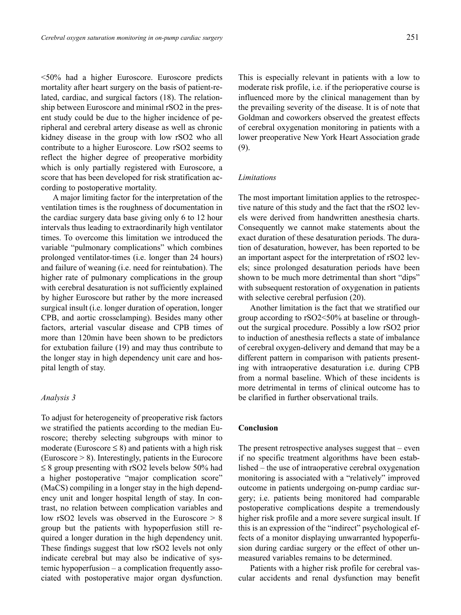<50% had a higher Euroscore. Euroscore predicts mortality after heart surgery on the basis of patient-related, cardiac, and surgical factors (18). The relationship between Euroscore and minimal rSO2 in the present study could be due to the higher incidence of peripheral and cerebral artery disease as well as chronic kidney disease in the group with low rSO2 who all contribute to a higher Euroscore. Low rSO2 seems to reflect the higher degree of preoperative morbidity which is only partially registered with Euroscore, a score that has been developed for risk stratification according to postoperative mortality.

A major limiting factor for the interpretation of the ventilation times is the roughness of documentation in the cardiac surgery data base giving only 6 to 12 hour intervals thus leading to extraordinarily high ventilator times. To overcome this limitation we introduced the variable "pulmonary complications" which combines prolonged ventilator-times (i.e. longer than 24 hours) and failure of weaning (i.e. need for reintubation). The higher rate of pulmonary complications in the group with cerebral desaturation is not sufficiently explained by higher Euroscore but rather by the more increased surgical insult (i.e. longer duration of operation, longer CPB, and aortic crossclamping). Besides many other factors, arterial vascular disease and CPB times of more than 120min have been shown to be predictors for extubation failure (19) and may thus contribute to the longer stay in high dependency unit care and hospital length of stay.

## *Analysis 3*

To adjust for heterogeneity of preoperative risk factors we stratified the patients according to the median Euroscore; thereby selecting subgroups with minor to moderate (Euroscore  $\leq$  8) and patients with a high risk (Euroscore > 8). Interestingly, patients in the Eurocore  $\leq$  8 group presenting with rSO2 levels below 50% had a higher postoperative "major complication score" (MaCS) compiling in a longer stay in the high dependency unit and longer hospital length of stay. In contrast, no relation between complication variables and low rSO2 levels was observed in the Euroscore > 8 group but the patients with hypoperfusion still required a longer duration in the high dependency unit. These findings suggest that low rSO2 levels not only indicate cerebral but may also be indicative of systemic hypoperfusion – a complication frequently associated with postoperative major organ dysfunction.

This is especially relevant in patients with a low to moderate risk profile, i.e. if the perioperative course is influenced more by the clinical management than by the prevailing severity of the disease. It is of note that Goldman and coworkers observed the greatest effects of cerebral oxygenation monitoring in patients with a lower preoperative New York Heart Association grade (9).

#### *Limitations*

The most important limitation applies to the retrospective nature of this study and the fact that the rSO2 levels were derived from handwritten anesthesia charts. Consequently we cannot make statements about the exact duration of these desaturation periods. The duration of desaturation, however, has been reported to be an important aspect for the interpretation of rSO2 levels; since prolonged desaturation periods have been shown to be much more detrimental than short "dips" with subsequent restoration of oxygenation in patients with selective cerebral perfusion (20).

Another limitation is the fact that we stratified our group according to rSO2<50% at baseline or throughout the surgical procedure. Possibly a low rSO2 prior to induction of anesthesia reflects a state of imbalance of cerebral oxygen-delivery and demand that may be a different pattern in comparison with patients presenting with intraoperative desaturation i.e. during CPB from a normal baseline. Which of these incidents is more detrimental in terms of clinical outcome has to be clarified in further observational trails.

#### **Conclusion**

The present retrospective analyses suggest that – even if no specific treatment algorithms have been established – the use of intraoperative cerebral oxygenation monitoring is associated with a "relatively" improved outcome in patients undergoing on-pump cardiac surgery; i.e. patients being monitored had comparable postoperative complications despite a tremendously higher risk profile and a more severe surgical insult. If this is an expression of the "indirect" psychological effects of a monitor displaying unwarranted hypoperfusion during cardiac surgery or the effect of other unmeasured variables remains to be determined.

Patients with a higher risk profile for cerebral vascular accidents and renal dysfunction may benefit